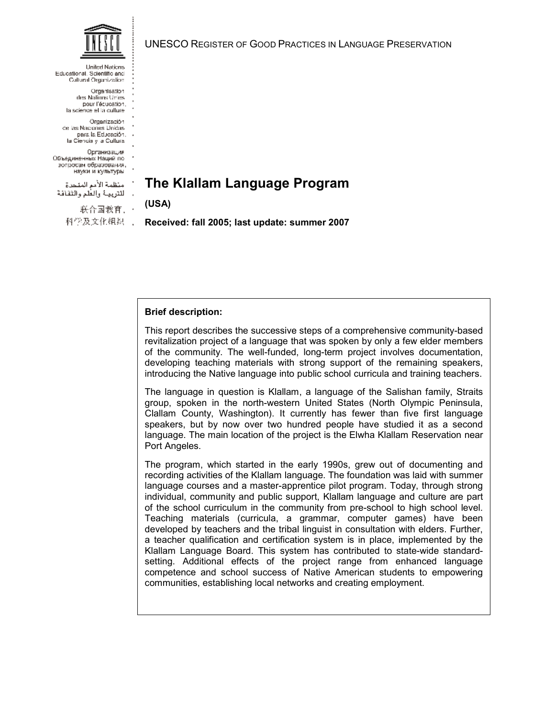**United Nations** Educational, Scientific and Cultural Organization

> Organisation des Nations Unies pour l'équestion. la science el la culture

Organización de las Naciones Unidas. para la Educación. la Ciencia y a Cultura

Организация Объединенных Наций по зопросам образования, науки и культуры

منظمة الأمم المتحرة اللترييبة والعلم والثقافة

> 联合国教育, · 科学及文化组织。」

UNESCO REGISTER OF GOOD PRACTICES IN LANGUAGE PRESERVATION

# **The Klallam Language Program**

**(USA)** 

**Received: fall 2005; last update: summer 2007** 

## **Brief description:**

This report describes the successive steps of a comprehensive community-based revitalization project of a language that was spoken by only a few elder members of the community. The well-funded, long-term project involves documentation, developing teaching materials with strong support of the remaining speakers, introducing the Native language into public school curricula and training teachers.

The language in question is Klallam, a language of the Salishan family, Straits group, spoken in the north-western United States (North Olympic Peninsula, Clallam County, Washington). It currently has fewer than five first language speakers, but by now over two hundred people have studied it as a second language. The main location of the project is the Elwha Klallam Reservation near Port Angeles.

The program, which started in the early 1990s, grew out of documenting and recording activities of the Klallam language. The foundation was laid with summer language courses and a master-apprentice pilot program. Today, through strong individual, community and public support, Klallam language and culture are part of the school curriculum in the community from pre-school to high school level. Teaching materials (curricula, a grammar, computer games) have been developed by teachers and the tribal linguist in consultation with elders. Further, a teacher qualification and certification system is in place, implemented by the Klallam Language Board. This system has contributed to state-wide standardsetting. Additional effects of the project range from enhanced language competence and school success of Native American students to empowering communities, establishing local networks and creating employment.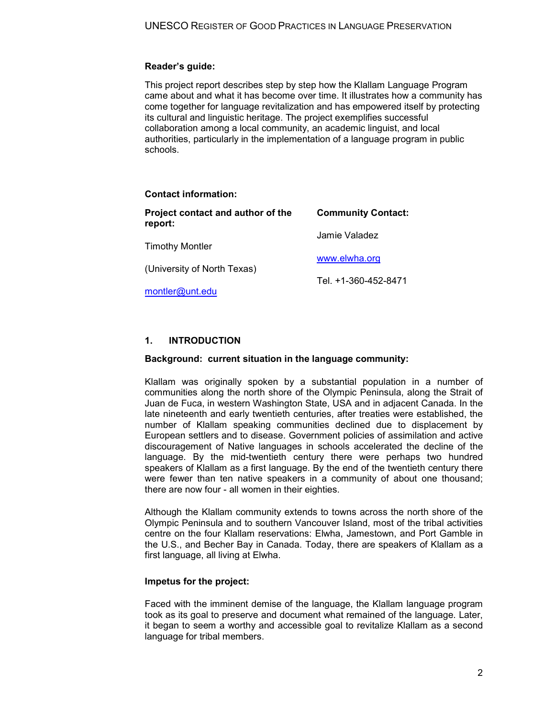## **Reader's guide:**

This project report describes step by step how the Klallam Language Program came about and what it has become over time. It illustrates how a community has come together for language revitalization and has empowered itself by protecting its cultural and linguistic heritage. The project exemplifies successful collaboration among a local community, an academic linguist, and local authorities, particularly in the implementation of a language program in public schools.

#### **Contact information:**

| Project contact and author of the<br>report: | <b>Community Contact:</b> |
|----------------------------------------------|---------------------------|
| <b>Timothy Montler</b>                       | Jamie Valadez             |
| (University of North Texas)                  | www.elwha.org             |
| montler@unt.edu                              | Tel. +1-360-452-8471      |
|                                              |                           |

## **1. INTRODUCTION**

#### **Background: current situation in the language community:**

Klallam was originally spoken by a substantial population in a number of communities along the north shore of the Olympic Peninsula, along the Strait of Juan de Fuca, in western Washington State, USA and in adjacent Canada. In the late nineteenth and early twentieth centuries, after treaties were established, the number of Klallam speaking communities declined due to displacement by European settlers and to disease. Government policies of assimilation and active discouragement of Native languages in schools accelerated the decline of the language. By the mid-twentieth century there were perhaps two hundred speakers of Klallam as a first language. By the end of the twentieth century there were fewer than ten native speakers in a community of about one thousand; there are now four - all women in their eighties.

Although the Klallam community extends to towns across the north shore of the Olympic Peninsula and to southern Vancouver Island, most of the tribal activities centre on the four Klallam reservations: Elwha, Jamestown, and Port Gamble in the U.S., and Becher Bay in Canada. Today, there are speakers of Klallam as a first language, all living at Elwha.

## **Impetus for the project:**

Faced with the imminent demise of the language, the Klallam language program took as its goal to preserve and document what remained of the language. Later, it began to seem a worthy and accessible goal to revitalize Klallam as a second language for tribal members.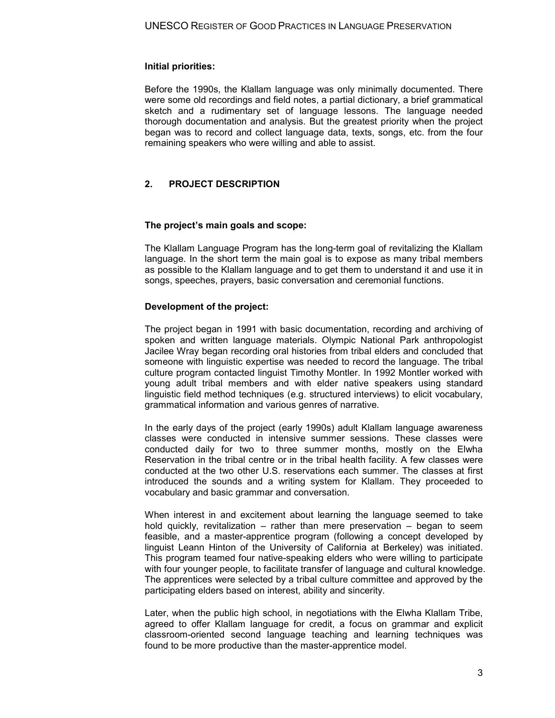#### **Initial priorities:**

Before the 1990s, the Klallam language was only minimally documented. There were some old recordings and field notes, a partial dictionary, a brief grammatical sketch and a rudimentary set of language lessons. The language needed thorough documentation and analysis. But the greatest priority when the project began was to record and collect language data, texts, songs, etc. from the four remaining speakers who were willing and able to assist.

## **2. PROJECT DESCRIPTION**

#### **The project's main goals and scope:**

The Klallam Language Program has the long-term goal of revitalizing the Klallam language. In the short term the main goal is to expose as many tribal members as possible to the Klallam language and to get them to understand it and use it in songs, speeches, prayers, basic conversation and ceremonial functions.

#### **Development of the project:**

The project began in 1991 with basic documentation, recording and archiving of spoken and written language materials. Olympic National Park anthropologist Jacilee Wray began recording oral histories from tribal elders and concluded that someone with linguistic expertise was needed to record the language. The tribal culture program contacted linguist Timothy Montler. In 1992 Montler worked with young adult tribal members and with elder native speakers using standard linguistic field method techniques (e.g. structured interviews) to elicit vocabulary, grammatical information and various genres of narrative.

In the early days of the project (early 1990s) adult Klallam language awareness classes were conducted in intensive summer sessions. These classes were conducted daily for two to three summer months, mostly on the Elwha Reservation in the tribal centre or in the tribal health facility. A few classes were conducted at the two other U.S. reservations each summer. The classes at first introduced the sounds and a writing system for Klallam. They proceeded to vocabulary and basic grammar and conversation.

When interest in and excitement about learning the language seemed to take hold quickly, revitalization – rather than mere preservation – began to seem feasible, and a master-apprentice program (following a concept developed by linguist Leann Hinton of the University of California at Berkeley) was initiated. This program teamed four native-speaking elders who were willing to participate with four younger people, to facilitate transfer of language and cultural knowledge. The apprentices were selected by a tribal culture committee and approved by the participating elders based on interest, ability and sincerity.

Later, when the public high school, in negotiations with the Elwha Klallam Tribe, agreed to offer Klallam language for credit, a focus on grammar and explicit classroom-oriented second language teaching and learning techniques was found to be more productive than the master-apprentice model.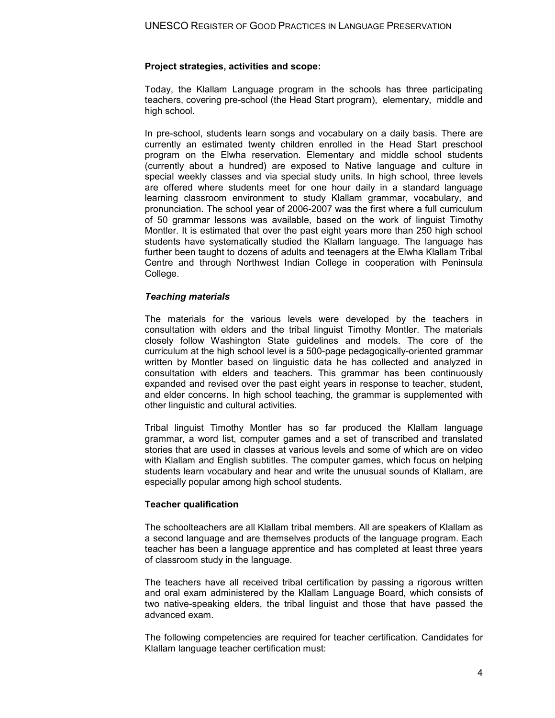#### **Project strategies, activities and scope:**

Today, the Klallam Language program in the schools has three participating teachers, covering pre-school (the Head Start program), elementary, middle and high school.

In pre-school, students learn songs and vocabulary on a daily basis. There are currently an estimated twenty children enrolled in the Head Start preschool program on the Elwha reservation. Elementary and middle school students (currently about a hundred) are exposed to Native language and culture in special weekly classes and via special study units. In high school, three levels are offered where students meet for one hour daily in a standard language learning classroom environment to study Klallam grammar, vocabulary, and pronunciation. The school year of 2006-2007 was the first where a full curriculum of 50 grammar lessons was available, based on the work of linguist Timothy Montler. It is estimated that over the past eight years more than 250 high school students have systematically studied the Klallam language. The language has further been taught to dozens of adults and teenagers at the Elwha Klallam Tribal Centre and through Northwest Indian College in cooperation with Peninsula College.

#### *Teaching materials*

The materials for the various levels were developed by the teachers in consultation with elders and the tribal linguist Timothy Montler. The materials closely follow Washington State guidelines and models. The core of the curriculum at the high school level is a 500-page pedagogically-oriented grammar written by Montler based on linguistic data he has collected and analyzed in consultation with elders and teachers. This grammar has been continuously expanded and revised over the past eight years in response to teacher, student, and elder concerns. In high school teaching, the grammar is supplemented with other linguistic and cultural activities.

Tribal linguist Timothy Montler has so far produced the Klallam language grammar, a word list, computer games and a set of transcribed and translated stories that are used in classes at various levels and some of which are on video with Klallam and English subtitles. The computer games, which focus on helping students learn vocabulary and hear and write the unusual sounds of Klallam, are especially popular among high school students.

#### **Teacher qualification**

The schoolteachers are all Klallam tribal members. All are speakers of Klallam as a second language and are themselves products of the language program. Each teacher has been a language apprentice and has completed at least three years of classroom study in the language.

The teachers have all received tribal certification by passing a rigorous written and oral exam administered by the Klallam Language Board, which consists of two native-speaking elders, the tribal linguist and those that have passed the advanced exam.

The following competencies are required for teacher certification. Candidates for Klallam language teacher certification must: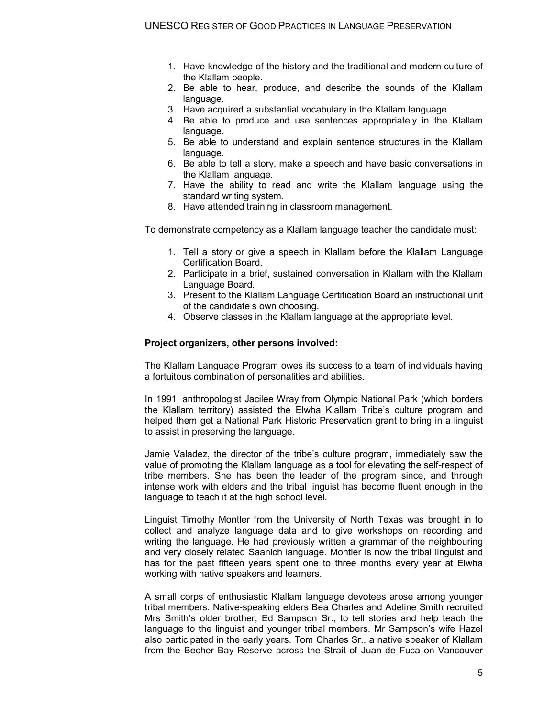- 1. Have knowledge of the history and the traditional and modern culture of the Klallam people.
- 2. Be able to hear, produce, and describe the sounds of the Klallam language.
- 3. Have acquired a substantial vocabulary in the Klallam language.
- 4. Be able to produce and use sentences appropriately in the Klallam language.
- 5. Be able to understand and explain sentence structures in the Klallam language.
- 6. Be able to tell a story, make a speech and have basic conversations in the Klallam language.
- 7. Have the ability to read and write the Klallam language using the standard writing system.
- 8. Have attended training in classroom management.

To demonstrate competency as a Klallam language teacher the candidate must:

- 1. Tell a story or give a speech in Klallam before the Klallam Language Certification Board.
- 2. Participate in a brief, sustained conversation in Klallam with the Klallam Language Board.
- 3. Present to the Klallam Language Certification Board an instructional unit of the candidate's own choosing.
- 4. Observe classes in the Klallam language at the appropriate level.

#### **Project organizers, other persons involved:**

The Klallam Language Program owes its success to a team of individuals having a fortuitous combination of personalities and abilities.

In 1991, anthropologist Jacilee Wray from Olympic National Park (which borders the Klallam territory) assisted the Elwha Klallam Tribe's culture program and helped them get a National Park Historic Preservation grant to bring in a linguist to assist in preserving the language.

Jamie Valadez, the director of the tribe's culture program, immediately saw the value of promoting the Klallam language as a tool for elevating the self-respect of tribe members. She has been the leader of the program since, and through intense work with elders and the tribal linguist has become fluent enough in the language to teach it at the high school level.

Linguist Timothy Montler from the University of North Texas was brought in to collect and analyze language data and to give workshops on recording and writing the language. He had previously written a grammar of the neighbouring and very closely related Saanich language. Montler is now the tribal linguist and has for the past fifteen years spent one to three months every year at Elwha working with native speakers and learners.

A small corps of enthusiastic Klallam language devotees arose among younger tribal members. Native-speaking elders Bea Charles and Adeline Smith recruited Mrs Smith's older brother, Ed Sampson Sr., to tell stories and help teach the language to the linguist and younger tribal members. Mr Sampson's wife Hazel also participated in the early years. Tom Charles Sr., a native speaker of Klallam from the Becher Bay Reserve across the Strait of Juan de Fuca on Vancouver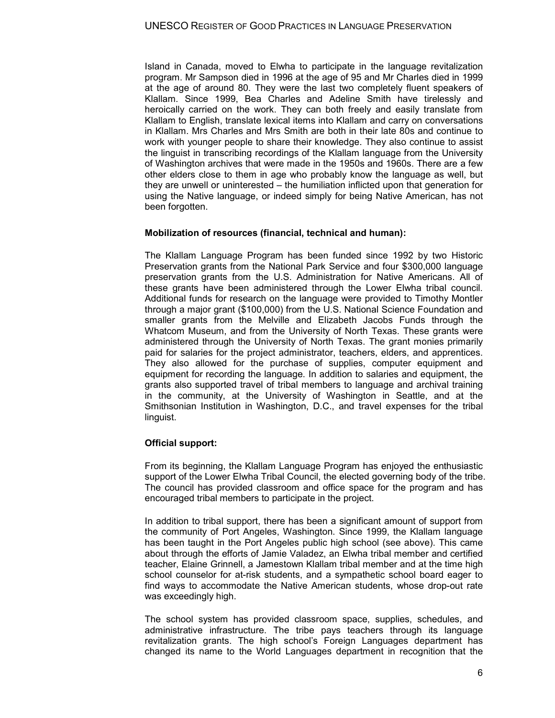Island in Canada, moved to Elwha to participate in the language revitalization program. Mr Sampson died in 1996 at the age of 95 and Mr Charles died in 1999 at the age of around 80. They were the last two completely fluent speakers of Klallam. Since 1999, Bea Charles and Adeline Smith have tirelessly and heroically carried on the work. They can both freely and easily translate from Klallam to English, translate lexical items into Klallam and carry on conversations in Klallam. Mrs Charles and Mrs Smith are both in their late 80s and continue to work with younger people to share their knowledge. They also continue to assist the linguist in transcribing recordings of the Klallam language from the University of Washington archives that were made in the 1950s and 1960s. There are a few other elders close to them in age who probably know the language as well, but they are unwell or uninterested – the humiliation inflicted upon that generation for using the Native language, or indeed simply for being Native American, has not been forgotten.

## **Mobilization of resources (financial, technical and human):**

The Klallam Language Program has been funded since 1992 by two Historic Preservation grants from the National Park Service and four \$300,000 language preservation grants from the U.S. Administration for Native Americans. All of these grants have been administered through the Lower Elwha tribal council. Additional funds for research on the language were provided to Timothy Montler through a major grant (\$100,000) from the U.S. National Science Foundation and smaller grants from the Melville and Elizabeth Jacobs Funds through the Whatcom Museum, and from the University of North Texas. These grants were administered through the University of North Texas. The grant monies primarily paid for salaries for the project administrator, teachers, elders, and apprentices. They also allowed for the purchase of supplies, computer equipment and equipment for recording the language. In addition to salaries and equipment, the grants also supported travel of tribal members to language and archival training in the community, at the University of Washington in Seattle, and at the Smithsonian Institution in Washington, D.C., and travel expenses for the tribal linguist.

## **Official support:**

From its beginning, the Klallam Language Program has enjoyed the enthusiastic support of the Lower Elwha Tribal Council, the elected governing body of the tribe. The council has provided classroom and office space for the program and has encouraged tribal members to participate in the project.

In addition to tribal support, there has been a significant amount of support from the community of Port Angeles, Washington. Since 1999, the Klallam language has been taught in the Port Angeles public high school (see above). This came about through the efforts of Jamie Valadez, an Elwha tribal member and certified teacher, Elaine Grinnell, a Jamestown Klallam tribal member and at the time high school counselor for at-risk students, and a sympathetic school board eager to find ways to accommodate the Native American students, whose drop-out rate was exceedingly high.

The school system has provided classroom space, supplies, schedules, and administrative infrastructure. The tribe pays teachers through its language revitalization grants. The high school's Foreign Languages department has changed its name to the World Languages department in recognition that the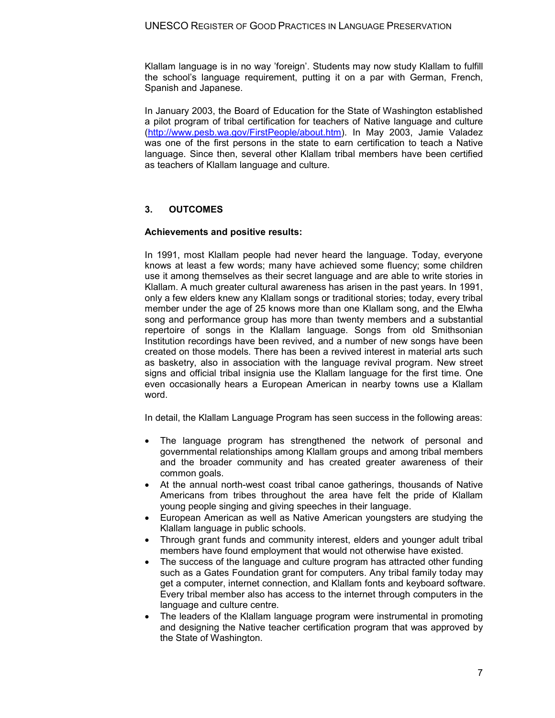Klallam language is in no way 'foreign'. Students may now study Klallam to fulfill the school's language requirement, putting it on a par with German, French, Spanish and Japanese.

In January 2003, the Board of Education for the State of Washington established a pilot program of tribal certification for teachers of Native language and culture [\(http://www.pesb.wa.gov/FirstPeople/about.htm\)](http://www.pesb.wa.gov/FirstPeople/about.htm). In May 2003, Jamie Valadez was one of the first persons in the state to earn certification to teach a Native language. Since then, several other Klallam tribal members have been certified as teachers of Klallam language and culture.

## **3. OUTCOMES**

#### **Achievements and positive results:**

In 1991, most Klallam people had never heard the language. Today, everyone knows at least a few words; many have achieved some fluency; some children use it among themselves as their secret language and are able to write stories in Klallam. A much greater cultural awareness has arisen in the past years. In 1991, only a few elders knew any Klallam songs or traditional stories; today, every tribal member under the age of 25 knows more than one Klallam song, and the Elwha song and performance group has more than twenty members and a substantial repertoire of songs in the Klallam language. Songs from old Smithsonian Institution recordings have been revived, and a number of new songs have been created on those models. There has been a revived interest in material arts such as basketry, also in association with the language revival program. New street signs and official tribal insignia use the Klallam language for the first time. One even occasionally hears a European American in nearby towns use a Klallam word.

In detail, the Klallam Language Program has seen success in the following areas:

- · The language program has strengthened the network of personal and governmental relationships among Klallam groups and among tribal members and the broader community and has created greater awareness of their common goals.
- · At the annual north-west coast tribal canoe gatherings, thousands of Native Americans from tribes throughout the area have felt the pride of Klallam young people singing and giving speeches in their language.
- European American as well as Native American youngsters are studying the Klallam language in public schools.
- · Through grant funds and community interest, elders and younger adult tribal members have found employment that would not otherwise have existed.
- The success of the language and culture program has attracted other funding such as a Gates Foundation grant for computers. Any tribal family today may get a computer, internet connection, and Klallam fonts and keyboard software. Every tribal member also has access to the internet through computers in the language and culture centre.
- · The leaders of the Klallam language program were instrumental in promoting and designing the Native teacher certification program that was approved by the State of Washington.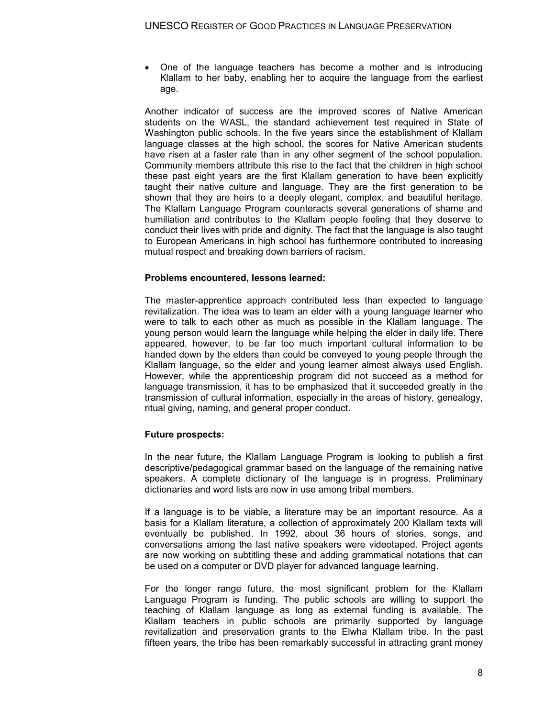· One of the language teachers has become a mother and is introducing Klallam to her baby, enabling her to acquire the language from the earliest age.

Another indicator of success are the improved scores of Native American students on the WASL, the standard achievement test required in State of Washington public schools. In the five years since the establishment of Klallam language classes at the high school, the scores for Native American students have risen at a faster rate than in any other segment of the school population. Community members attribute this rise to the fact that the children in high school these past eight years are the first Klallam generation to have been explicitly taught their native culture and language. They are the first generation to be shown that they are heirs to a deeply elegant, complex, and beautiful heritage. The Klallam Language Program counteracts several generations of shame and humiliation and contributes to the Klallam people feeling that they deserve to conduct their lives with pride and dignity. The fact that the language is also taught to European Americans in high school has furthermore contributed to increasing mutual respect and breaking down barriers of racism.

#### **Problems encountered, lessons learned:**

The master-apprentice approach contributed less than expected to language revitalization. The idea was to team an elder with a young language learner who were to talk to each other as much as possible in the Klallam language. The young person would learn the language while helping the elder in daily life. There appeared, however, to be far too much important cultural information to be handed down by the elders than could be conveyed to young people through the Klallam language, so the elder and young learner almost always used English. However, while the apprenticeship program did not succeed as a method for language transmission, it has to be emphasized that it succeeded greatly in the transmission of cultural information, especially in the areas of history, genealogy, ritual giving, naming, and general proper conduct.

#### **Future prospects:**

In the near future, the Klallam Language Program is looking to publish a first descriptive/pedagogical grammar based on the language of the remaining native speakers. A complete dictionary of the language is in progress. Preliminary dictionaries and word lists are now in use among tribal members.

If a language is to be viable, a literature may be an important resource. As a basis for a Klallam literature, a collection of approximately 200 Klallam texts will eventually be published. In 1992, about 36 hours of stories, songs, and conversations among the last native speakers were videotaped. Project agents are now working on subtitling these and adding grammatical notations that can be used on a computer or DVD player for advanced language learning.

For the longer range future, the most significant problem for the Klallam Language Program is funding. The public schools are willing to support the teaching of Klallam language as long as external funding is available. The Klallam teachers in public schools are primarily supported by language revitalization and preservation grants to the Elwha Klallam tribe. In the past fifteen years, the tribe has been remarkably successful in attracting grant money